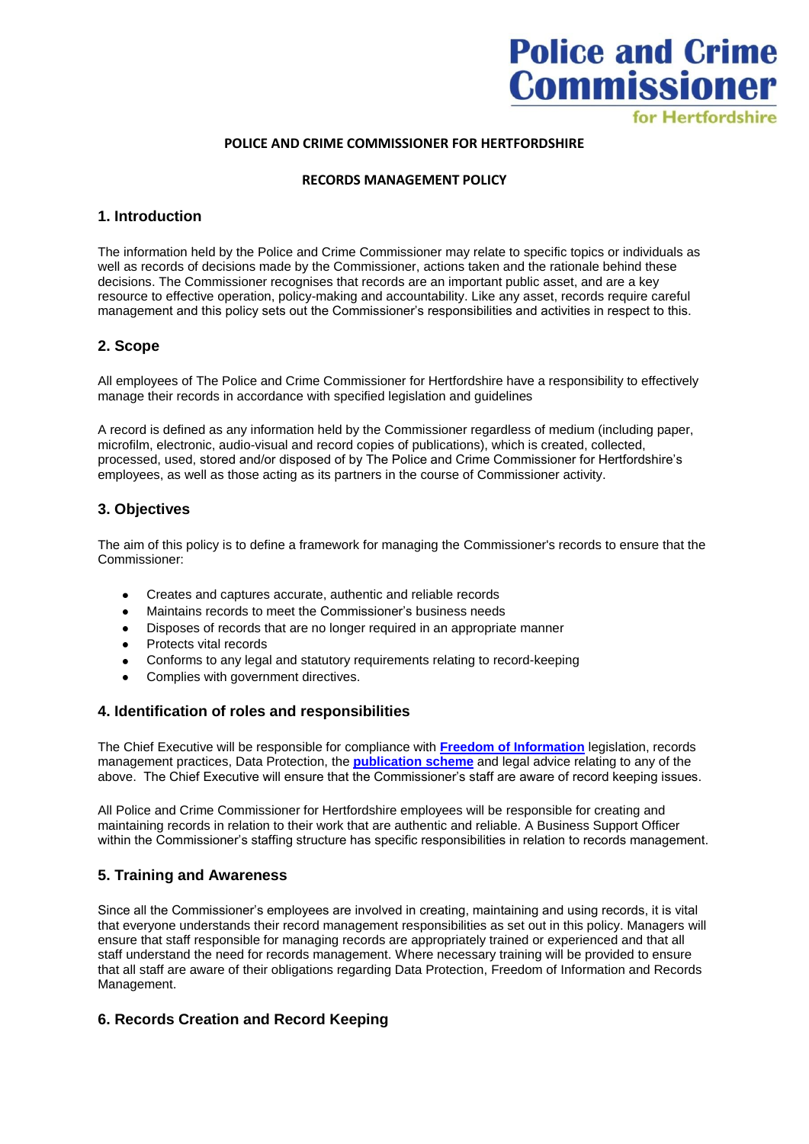# **Police and Crime Commissioner** for Hertfordshire

#### **POLICE AND CRIME COMMISSIONER FOR HERTFORDSHIRE**

#### **RECORDS MANAGEMENT POLICY**

#### **1. Introduction**

The information held by the Police and Crime Commissioner may relate to specific topics or individuals as well as records of decisions made by the Commissioner, actions taken and the rationale behind these decisions. The Commissioner recognises that records are an important public asset, and are a key resource to effective operation, policy-making and accountability. Like any asset, records require careful management and this policy sets out the Commissioner's responsibilities and activities in respect to this.

## **2. Scope**

All employees of The Police and Crime Commissioner for Hertfordshire have a responsibility to effectively manage their records in accordance with specified legislation and guidelines

A record is defined as any information held by the Commissioner regardless of medium (including paper, microfilm, electronic, audio-visual and record copies of publications), which is created, collected, processed, used, stored and/or disposed of by The Police and Crime Commissioner for Hertfordshire's employees, as well as those acting as its partners in the course of Commissioner activity.

## **3. Objectives**

The aim of this policy is to define a framework for managing the Commissioner's records to ensure that the Commissioner:

- Creates and captures accurate, authentic and reliable records  $\bullet$
- Maintains records to meet the Commissioner's business needs  $\bullet$
- $\bullet$ Disposes of records that are no longer required in an appropriate manner
- $\bullet$ Protects vital records
- Conforms to any legal and statutory requirements relating to record-keeping  $\bullet$
- Complies with government directives.  $\ddot{\phantom{a}}$

#### **4. Identification of roles and responsibilities**

The Chief Executive will be responsible for compliance with **[Freedom of Information](http://www.ico.org.uk/for_organisations/freedom_of_information)** legislation, records management practices, Data Protection, the **[publication scheme](http://www.hertscommissioner.org/my_plan/publications_and_policies/foi-1/publications_scheme.aspx)** and legal advice relating to any of the above. The Chief Executive will ensure that the Commissioner's staff are aware of record keeping issues.

All Police and Crime Commissioner for Hertfordshire employees will be responsible for creating and maintaining records in relation to their work that are authentic and reliable. A Business Support Officer within the Commissioner's staffing structure has specific responsibilities in relation to records management.

## **5. Training and Awareness**

Since all the Commissioner's employees are involved in creating, maintaining and using records, it is vital that everyone understands their record management responsibilities as set out in this policy. Managers will ensure that staff responsible for managing records are appropriately trained or experienced and that all staff understand the need for records management. Where necessary training will be provided to ensure that all staff are aware of their obligations regarding Data Protection, Freedom of Information and Records Management.

## **6. Records Creation and Record Keeping**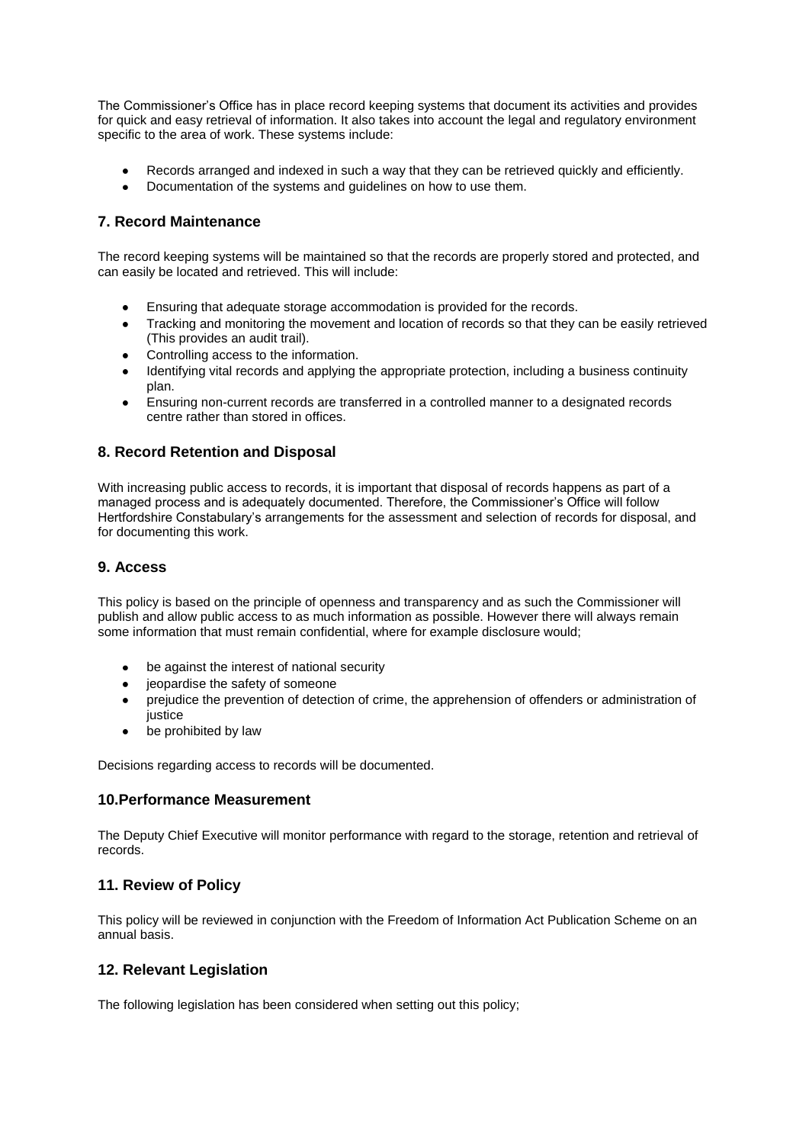The Commissioner's Office has in place record keeping systems that document its activities and provides for quick and easy retrieval of information. It also takes into account the legal and regulatory environment specific to the area of work. These systems include:

- Records arranged and indexed in such a way that they can be retrieved quickly and efficiently.
- $\bullet$ Documentation of the systems and guidelines on how to use them.

# **7. Record Maintenance**

The record keeping systems will be maintained so that the records are properly stored and protected, and can easily be located and retrieved. This will include:

- Ensuring that adequate storage accommodation is provided for the records.
- Tracking and monitoring the movement and location of records so that they can be easily retrieved  $\bullet$ (This provides an audit trail).
- Controlling access to the information.
- Identifying vital records and applying the appropriate protection, including a business continuity plan.
- Ensuring non-current records are transferred in a controlled manner to a designated records  $\bullet$ centre rather than stored in offices.

## **8. Record Retention and Disposal**

With increasing public access to records, it is important that disposal of records happens as part of a managed process and is adequately documented. Therefore, the Commissioner's Office will follow Hertfordshire Constabulary's arrangements for the assessment and selection of records for disposal, and for documenting this work.

## **9. Access**

This policy is based on the principle of openness and transparency and as such the Commissioner will publish and allow public access to as much information as possible. However there will always remain some information that must remain confidential, where for example disclosure would;

- be against the interest of national security  $\bullet$
- jeopardise the safety of someone
- prejudice the prevention of detection of crime, the apprehension of offenders or administration of  $\bullet$ justice
- be prohibited by law  $\bullet$

Decisions regarding access to records will be documented.

## **10.Performance Measurement**

The Deputy Chief Executive will monitor performance with regard to the storage, retention and retrieval of records.

# **11. Review of Policy**

This policy will be reviewed in conjunction with the Freedom of Information Act Publication Scheme on an annual basis.

## **12. Relevant Legislation**

The following legislation has been considered when setting out this policy;